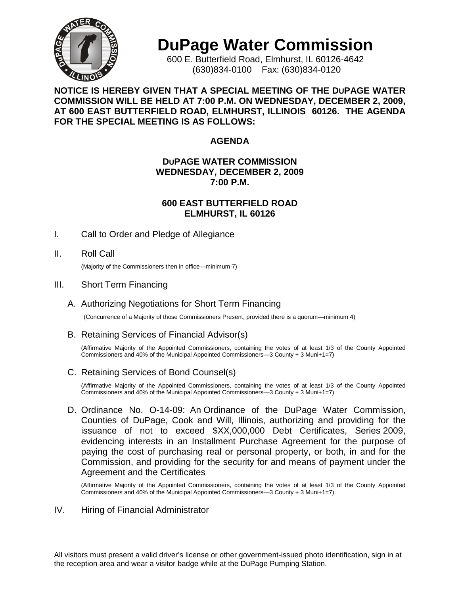

# **DuPage Water Commission**

600 E. Butterfield Road, Elmhurst, IL 60126-4642 (630)834-0100 Fax: (630)834-0120

# **NOTICE IS HEREBY GIVEN THAT A SPECIAL MEETING OF THE DUPAGE WATER COMMISSION WILL BE HELD AT 7:00 P.M. ON WEDNESDAY, DECEMBER 2, 2009, AT 600 EAST BUTTERFIELD ROAD, ELMHURST, ILLINOIS 60126. THE AGENDA FOR THE SPECIAL MEETING IS AS FOLLOWS:**

# **AGENDA**

#### **DUPAGE WATER COMMISSION WEDNESDAY, DECEMBER 2, 2009 7:00 P.M.**

#### **600 EAST BUTTERFIELD ROAD ELMHURST, IL 60126**

I. Call to Order and Pledge of Allegiance

# II. Roll Call

(Majority of the Commissioners then in office—minimum 7)

#### III. Short Term Financing

# A. Authorizing Negotiations for Short Term Financing

(Concurrence of a Majority of those Commissioners Present, provided there is a quorum—minimum 4)

#### B. Retaining Services of Financial Advisor(s)

(Affirmative Majority of the Appointed Commissioners, containing the votes of at least 1/3 of the County Appointed Commissioners and 40% of the Municipal Appointed Commissioners—3 County + 3 Muni+1=7)

# C. Retaining Services of Bond Counsel(s)

(Affirmative Majority of the Appointed Commissioners, containing the votes of at least 1/3 of the County Appointed Commissioners and 40% of the Municipal Appointed Commissioners—3 County + 3 Muni+1=7)

D. Ordinance No. O-14-09: An Ordinance of the DuPage Water Commission, Counties of DuPage, Cook and Will, Illinois, authorizing and providing for the issuance of not to exceed \$XX,000,000 Debt Certificates, Series 2009, evidencing interests in an Installment Purchase Agreement for the purpose of paying the cost of purchasing real or personal property, or both, in and for the Commission, and providing for the security for and means of payment under the Agreement and the Certificates

(Affirmative Majority of the Appointed Commissioners, containing the votes of at least 1/3 of the County Appointed Commissioners and 40% of the Municipal Appointed Commissioners—3 County + 3 Muni+1=7)

IV. Hiring of Financial Administrator